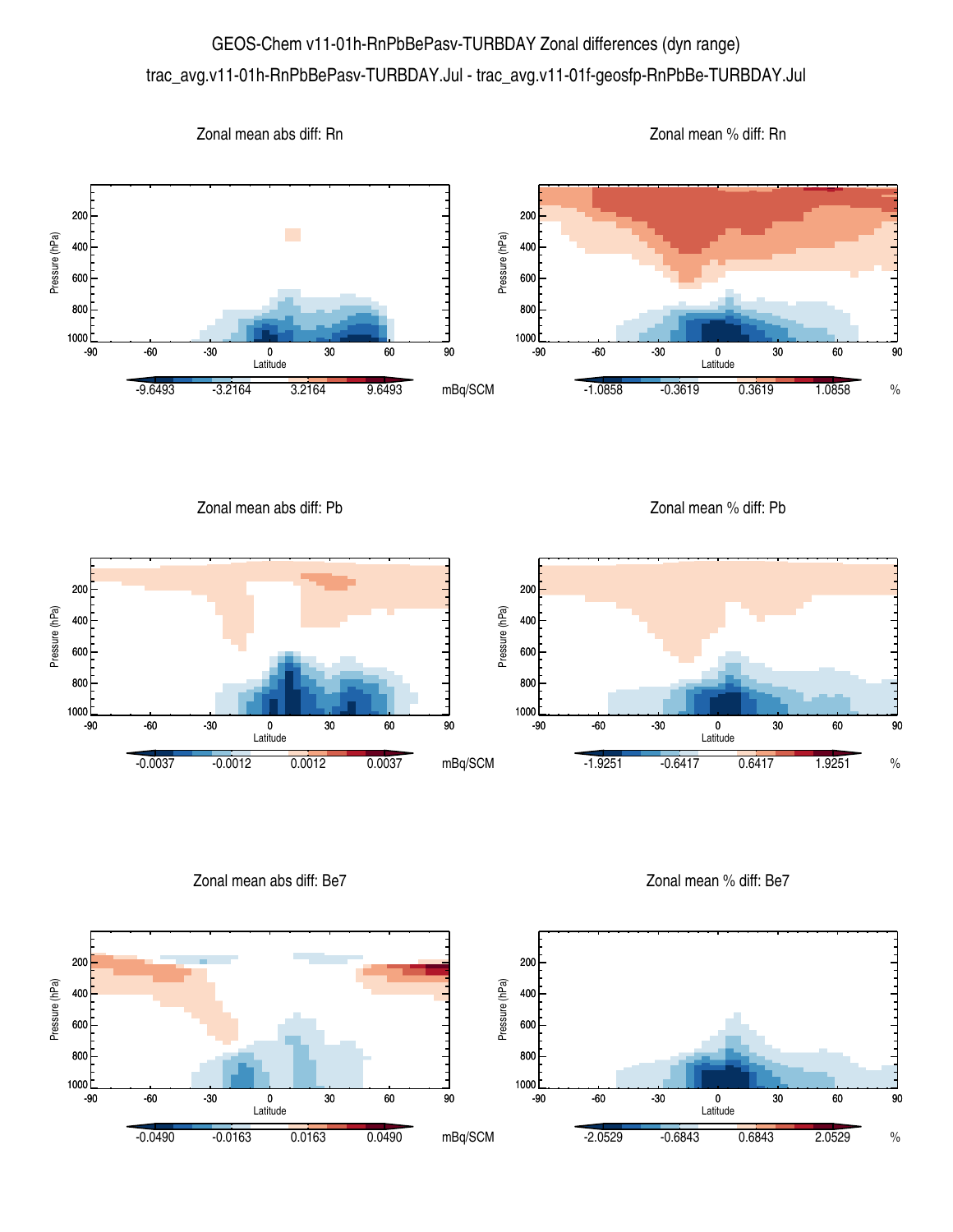## GEOS-Chem v11-01h-RnPbBePasv-TURBDAY Zonal differences (dyn range) trac\_avg.v11-01h-RnPbBePasv-TURBDAY.Jul - trac\_avg.v11-01f-geosfp-RnPbBe-TURBDAY.Jul



Zonal mean abs diff: Pb

Zonal mean % diff: Pb



Zonal mean abs diff: Be7